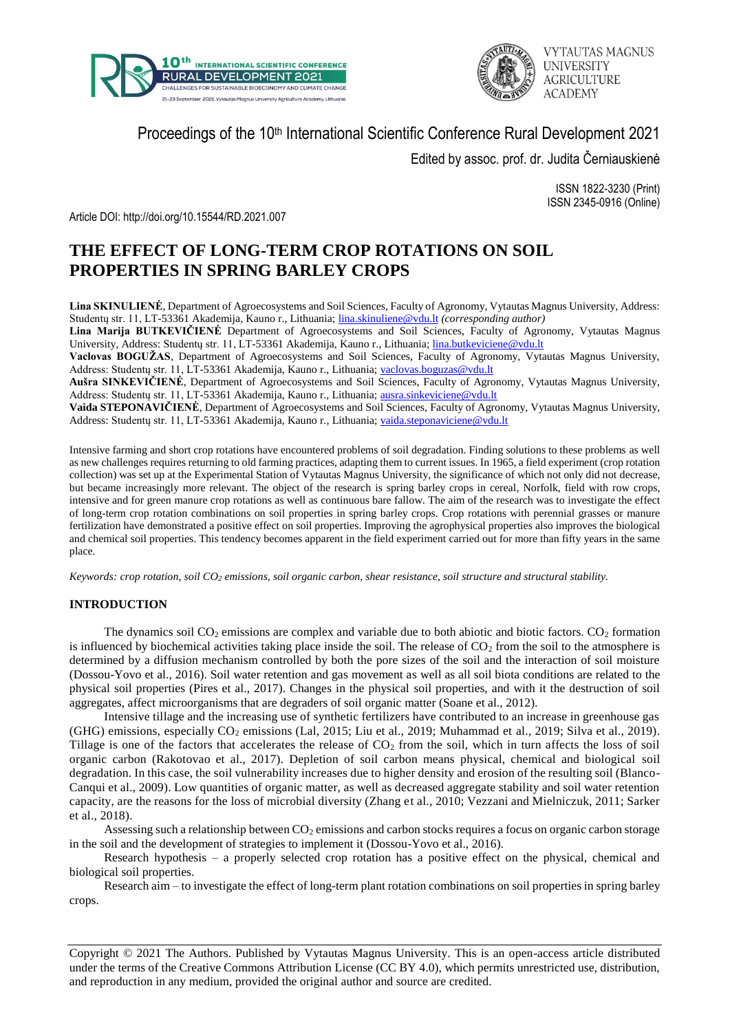



# Proceedings of the 10<sup>th</sup> International Scientific Conference Rural Development 2021

Edited by assoc. prof. dr. Judita Černiauskienė

ISSN 1822-3230 (Print) ISSN 2345-0916 (Online)

Article DOI: http://doi.org/10.15544/RD.2021.007

# **THE EFFECT OF LONG-TERM CROP ROTATIONS ON SOIL PROPERTIES IN SPRING BARLEY CROPS**

**Lina SKINULIENĖ**, Department of Agroecosystems and Soil Sciences, Faculty of Agronomy, Vytautas Magnus University, Address: Studentų str. 11, LT-53361 Akademija, Kauno r., Lithuania; [lina.skinuliene@vdu.lt](mailto:lina.skinuliene@vdu.lt) *(corresponding author)*

**Lina Marija BUTKEVIČIENĖ** Department of Agroecosystems and Soil Sciences, Faculty of Agronomy, Vytautas Magnus University, Address: Studentų str. 11, LT-53361 Akademija, Kauno r., Lithuania[; lina.butkeviciene@vdu.lt](mailto:lina.butkeviciene@vdu.lt)

**Vaclovas BOGUŽAS**, Department of Agroecosystems and Soil Sciences, Faculty of Agronomy, Vytautas Magnus University, Address: Studentų str. 11, LT-53361 Akademija, Kauno r., Lithuania; [vaclovas.boguzas@vdu.lt](mailto:vaclovas.boguzas@vdu.lt)

**Aušra SINKEVIČIENĖ**, Department of Agroecosystems and Soil Sciences, Faculty of Agronomy, Vytautas Magnus University, Address: Studentų str. 11, LT-53361 Akademija, Kauno r., Lithuania; [ausra.sinkeviciene@vdu.lt](mailto:ausra.sinkeviciene@vdu.lt)

**Vaida STEPONAVIČIENĖ**, Department of Agroecosystems and Soil Sciences, Faculty of Agronomy, Vytautas Magnus University, Address: Studentų str. 11, LT-53361 Akademija, Kauno r., Lithuania; [vaida.steponaviciene@vdu.lt](mailto:vaida.steponaviciene@vdu.lt)

Intensive farming and short crop rotations have encountered problems of soil degradation. Finding solutions to these problems as well as new challenges requires returning to old farming practices, adapting them to current issues. In 1965, a field experiment (crop rotation collection) was set up at the Experimental Station of Vytautas Magnus University, the significance of which not only did not decrease, but became increasingly more relevant. The object of the research is spring barley crops in cereal, Norfolk, field with row crops, intensive and for green manure crop rotations as well as continuous bare fallow. The aim of the research was to investigate the effect of long-term crop rotation combinations on soil properties in spring barley crops. Crop rotations with perennial grasses or manure fertilization have demonstrated a positive effect on soil properties. Improving the agrophysical properties also improves the biological and chemical soil properties. This tendency becomes apparent in the field experiment carried out for more than fifty years in the same place.

*Keywords: crop rotation, soil CO<sup>2</sup> emissions, soil organic carbon, shear resistance, soil structure and structural stability.*

### **INTRODUCTION**

The dynamics soil  $CO_2$  emissions are complex and variable due to both abiotic and biotic factors.  $CO_2$  formation is influenced by biochemical activities taking place inside the soil. The release of  $CO<sub>2</sub>$  from the soil to the atmosphere is determined by a diffusion mechanism controlled by both the pore sizes of the soil and the interaction of soil moisture (Dossou-Yovo et al., 2016). Soil water retention and gas movement as well as all soil biota conditions are related to the physical soil properties (Pires et al., 2017). Changes in the physical soil properties, and with it the destruction of soil aggregates, affect microorganisms that are degraders of soil organic matter (Soane et al., 2012).

Intensive tillage and the increasing use of synthetic fertilizers have contributed to an increase in greenhouse gas (GHG) emissions, especially CO<sub>2</sub> emissions (Lal, 2015; Liu et al., 2019; Muhammad et al., 2019; Silva et al., 2019). Tillage is one of the factors that accelerates the release of  $CO<sub>2</sub>$  from the soil, which in turn affects the loss of soil organic carbon (Rakotovao et al., 2017). Depletion of soil carbon means physical, chemical and biological soil degradation. In this case, the soil vulnerability increases due to higher density and erosion of the resulting soil (Blanco-Canqui et al., 2009). Low quantities of organic matter, as well as decreased aggregate stability and soil water retention capacity, are the reasons for the loss of microbial diversity (Zhang et al., 2010; Vezzani and Mielniczuk, 2011; Sarker et al., 2018).

Assessing such a relationship between  $CO<sub>2</sub>$  emissions and carbon stocks requires a focus on organic carbon storage in the soil and the development of strategies to implement it (Dossou-Yovo et al., 2016).

Research hypothesis – a properly selected crop rotation has a positive effect on the physical, chemical and biological soil properties.

Research aim – to investigate the effect of long-term plant rotation combinations on soil properties in spring barley crops.

Copyright © 2021 The Authors. Published by Vytautas Magnus University. This is an open-access article distributed under the terms of the Creative Commons Attribution License (CC BY 4.0), which permits unrestricted use, distribution, and reproduction in any medium, provided the original author and source are credited.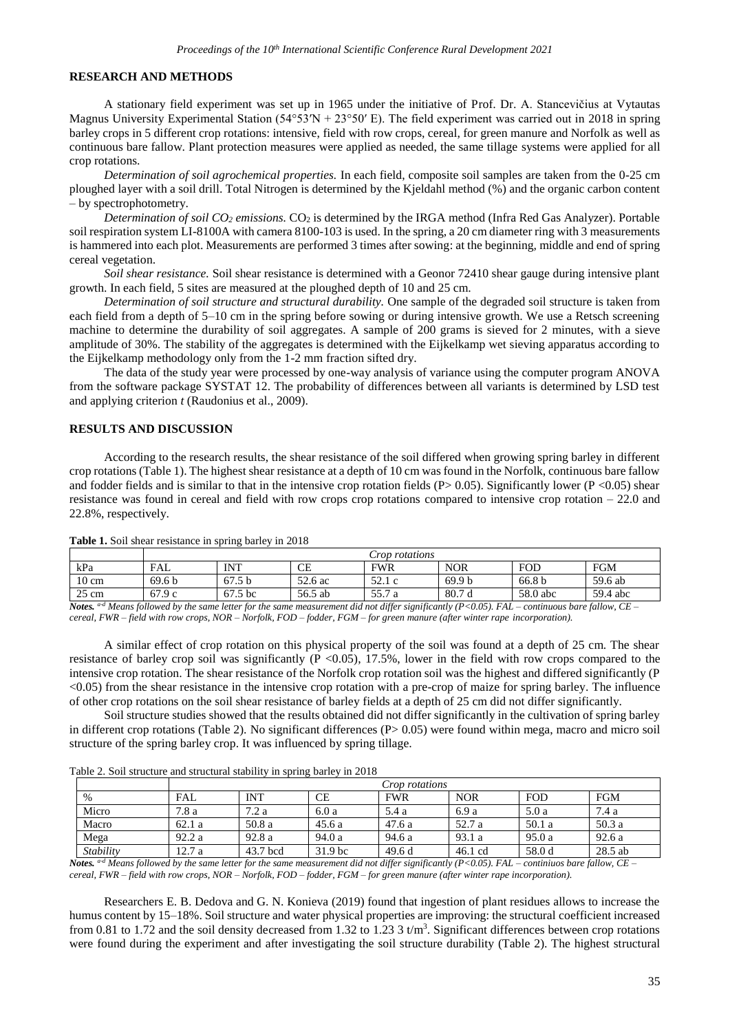#### **RESEARCH AND METHODS**

A stationary field experiment was set up in 1965 under the initiative of Prof. Dr. A. Stancevičius at Vytautas Magnus University Experimental Station ( $54^{\circ}53'N + 23^{\circ}50'$  E). The field experiment was carried out in 2018 in spring barley crops in 5 different crop rotations: intensive, field with row crops, cereal, for green manure and Norfolk as well as continuous bare fallow. Plant protection measures were applied as needed, the same tillage systems were applied for all crop rotations.

*Determination of soil agrochemical properties.* In each field, composite soil samples are taken from the 0-25 cm ploughed layer with a soil drill. Total Nitrogen is determined by the Kjeldahl method (%) and the organic carbon content – by spectrophotometry.

*Determination of soil CO<sup>2</sup> emissions.* CO<sup>2</sup> is determined by the IRGA method (Infra Red Gas Analyzer). Portable soil respiration system LI-8100A with camera 8100-103 is used. In the spring, a 20 cm diameter ring with 3 measurements is hammered into each plot. Measurements are performed 3 times after sowing: at the beginning, middle and end of spring cereal vegetation.

*Soil shear resistance.* Soil shear resistance is determined with a Geonor 72410 shear gauge during intensive plant growth. In each field, 5 sites are measured at the ploughed depth of 10 and 25 cm.

*Determination of soil structure and structural durability.* One sample of the degraded soil structure is taken from each field from a depth of 5–10 cm in the spring before sowing or during intensive growth. We use a Retsch screening machine to determine the durability of soil aggregates. A sample of 200 grams is sieved for 2 minutes, with a sieve amplitude of 30%. The stability of the aggregates is determined with the Eijkelkamp wet sieving apparatus according to the Eijkelkamp methodology only from the 1-2 mm fraction sifted dry.

The data of the study year were processed by one-way analysis of variance using the computer program ANOVA from the software package SYSTAT 12. The probability of differences between all variants is determined by LSD test and applying criterion *t* (Raudonius et al., 2009).

#### **RESULTS AND DISCUSSION**

According to the research results, the shear resistance of the soil differed when growing spring barley in different crop rotations (Table 1). The highest shear resistance at a depth of 10 cm was found in the Norfolk, continuous bare fallow and fodder fields and is similar to that in the intensive crop rotation fields ( $P > 0.05$ ). Significantly lower ( $P < 0.05$ ) shear resistance was found in cereal and field with row crops crop rotations compared to intensive crop rotation – 22.0 and 22.8%, respectively.

|                 | Crop rotations       |                   |         |              |                   |                   |                      |  |  |
|-----------------|----------------------|-------------------|---------|--------------|-------------------|-------------------|----------------------|--|--|
| kPa             | FAL                  | INT               | СE      | <b>FWR</b>   | <b>NOR</b>        | FOD               | <b>FGM</b>           |  |  |
| $10 \text{ cm}$ | 69.6 <sub>b</sub>    | 67.5 <sub>b</sub> | 52.6 ac | 52.1c        | 69.9 <sub>b</sub> | 66.8 <sub>b</sub> | 59.6 ab              |  |  |
| $25 \text{ cm}$ | 67.9c                | 67.5 bc           | 56.5 ab | 55.7<br>Ξa   | 80.7d             | 58.0 abc          | 59.4 abc             |  |  |
|                 | $\sim$ $\sim$<br>. . | $\sim$            | .       | <b>11.00</b> | $ -$              |                   | $\sim$ $\sim$<br>___ |  |  |

**Table 1.** Soil shear resistance in spring barley in 2018

*Notes. a-d Means followed by the same letter for the same measurement did not differ significantly (P<0.05). FAL – continuous bare fallow, CE – cereal, FWR – field with row crops, NOR – Norfolk, FOD – fodder, FGM – for green manure (after winter rape incorporation).*

A similar effect of crop rotation on this physical property of the soil was found at a depth of 25 cm. The shear resistance of barley crop soil was significantly  $(P < 0.05)$ , 17.5%, lower in the field with row crops compared to the intensive crop rotation. The shear resistance of the Norfolk crop rotation soil was the highest and differed significantly (P <0.05) from the shear resistance in the intensive crop rotation with a pre-crop of maize for spring barley. The influence of other crop rotations on the soil shear resistance of barley fields at a depth of 25 cm did not differ significantly.

Soil structure studies showed that the results obtained did not differ significantly in the cultivation of spring barley in different crop rotations (Table 2). No significant differences  $(P> 0.05)$  were found within mega, macro and micro soil structure of the spring barley crop. It was influenced by spring tillage.

| %         | <i>Crop rotations</i> |            |                    |            |            |            |            |  |  |
|-----------|-----------------------|------------|--------------------|------------|------------|------------|------------|--|--|
|           | FAL                   | <b>INT</b> | СE                 | <b>FWR</b> | <b>NOR</b> | <b>FOD</b> | <b>FGM</b> |  |  |
| Micro     | 7.8 a                 | 7.2 a      | 6.0a               | 5.4 a      | 6.9 a      | 5.0 a      | 7.4 a      |  |  |
| Macro     | 62.1a                 | 50.8 a     | 45.6a              | 47.6a      | 52.7 a     | 50.1 a     | 50.3a      |  |  |
| Mega      | 92.2a                 | 92.8 a     | 94.0 a             | 94.6 a     | 93.1 a     | 95.0 a     | 92.6a      |  |  |
| Stability | 12.7a                 | 43.7 bcd   | 31.9 <sub>bc</sub> | 49.6d      | $46.1$ cd  | 58.0 d     | $28.5$ ab  |  |  |

Table 2. Soil structure and structural stability in spring barley in 2018

*Notes. a-d Means followed by the same letter for the same measurement did not differ significantly (P<0.05). FAL – continiuos bare fallow, CE – cereal, FWR – field with row crops, NOR – Norfolk, FOD – fodder, FGM – for green manure (after winter rape incorporation).*

Researchers E. B. Dedova and G. N. Konieva (2019) found that ingestion of plant residues allows to increase the humus content by 15–18%. Soil structure and water physical properties are improving: the structural coefficient increased from 0.81 to 1.72 and the soil density decreased from 1.32 to 1.23  $3 \text{ t/m}^3$ . Significant differences between crop rotations were found during the experiment and after investigating the soil structure durability (Table 2). The highest structural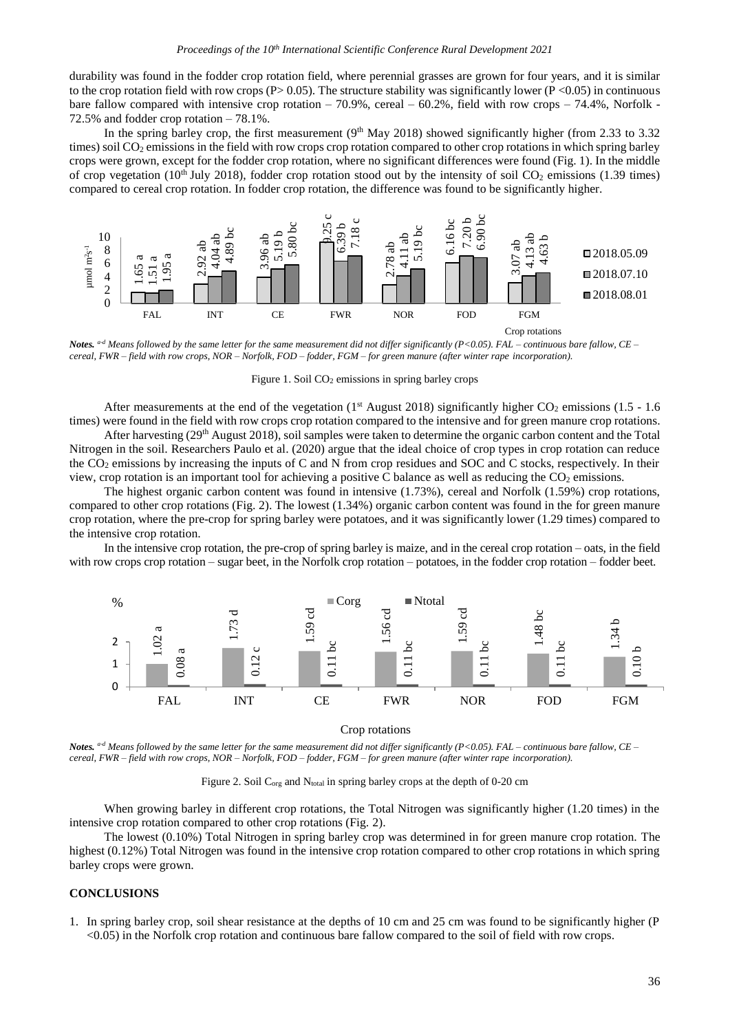durability was found in the fodder crop rotation field, where perennial grasses are grown for four years, and it is similar to the crop rotation field with row crops (P> 0.05). The structure stability was significantly lower (P < 0.05) in continuous bare fallow compared with intensive crop rotation – 70.9%, cereal – 60.2%, field with row crops – 74.4%, Norfolk -72.5% and fodder crop rotation – 78.1%.

In the spring barley crop, the first measurement  $(9<sup>th</sup>$  May 2018) showed significantly higher (from 2.33 to 3.32 times) soil CO<sup>2</sup> emissions in the field with row crops crop rotation compared to other crop rotations in which spring barley crops were grown, except for the fodder crop rotation, where no significant differences were found (Fig. 1). In the middle of crop vegetation (10<sup>th</sup> July 2018), fodder crop rotation stood out by the intensity of soil  $CO_2$  emissions (1.39 times) compared to cereal crop rotation. In fodder crop rotation, the difference was found to be significantly higher.



*Notes. a-d Means followed by the same letter for the same measurement did not differ significantly (P<0.05). FAL – continuous bare fallow, CE – cereal, FWR – field with row crops, NOR – Norfolk, FOD – fodder, FGM – for green manure (after winter rape incorporation).*

Figure 1. Soil CO<sup>2</sup> emissions in spring barley crops

After measurements at the end of the vegetation ( $1<sup>st</sup>$  August 2018) significantly higher CO<sub>2</sub> emissions (1.5 - 1.6 times) were found in the field with row crops crop rotation compared to the intensive and for green manure crop rotations.

After harvesting (29<sup>th</sup> August 2018), soil samples were taken to determine the organic carbon content and the Total Nitrogen in the soil. Researchers Paulo et al. (2020) argue that the ideal choice of crop types in crop rotation can reduce the CO<sup>2</sup> emissions by increasing the inputs of C and N from crop residues and SOC and C stocks, respectively. In their view, crop rotation is an important tool for achieving a positive C balance as well as reducing the  $CO<sub>2</sub>$  emissions.

The highest organic carbon content was found in intensive (1.73%), cereal and Norfolk (1.59%) crop rotations, compared to other crop rotations (Fig. 2). The lowest (1.34%) organic carbon content was found in the for green manure crop rotation, where the pre-crop for spring barley were potatoes, and it was significantly lower (1.29 times) compared to the intensive crop rotation.

In the intensive crop rotation, the pre-crop of spring barley is maize, and in the cereal crop rotation – oats, in the field with row crops crop rotation – sugar beet, in the Norfolk crop rotation – potatoes, in the fodder crop rotation – fodder beet.



Crop rotations

*Notes. a-d Means followed by the same letter for the same measurement did not differ significantly (P<0.05). FAL – continuous bare fallow, CE – cereal, FWR – field with row crops, NOR – Norfolk, FOD – fodder, FGM – for green manure (after winter rape incorporation).*

Figure 2. Soil C<sub>org</sub> and N<sub>total</sub> in spring barley crops at the depth of 0-20 cm

When growing barley in different crop rotations, the Total Nitrogen was significantly higher (1.20 times) in the intensive crop rotation compared to other crop rotations (Fig. 2).

The lowest (0.10%) Total Nitrogen in spring barley crop was determined in for green manure crop rotation. The highest (0.12%) Total Nitrogen was found in the intensive crop rotation compared to other crop rotations in which spring barley crops were grown.

#### **CONCLUSIONS**

1. In spring barley crop, soil shear resistance at the depths of 10 cm and 25 cm was found to be significantly higher (P